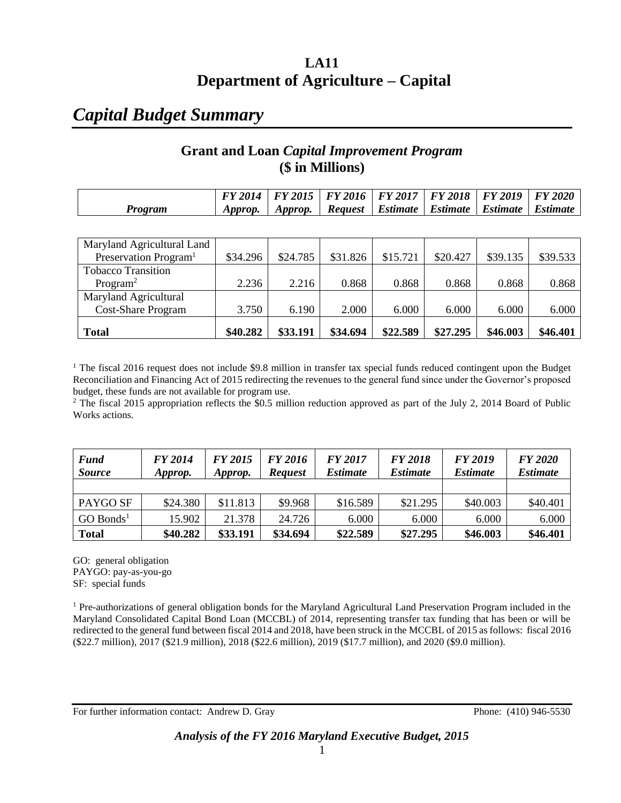## **LA11 Department of Agriculture – Capital**

## *Capital Budget Summary*

### **Grant and Loan** *Capital Improvement Program* **(\$ in Millions)**

|         |         |         | FY 2014   FY 2015   FY 2016   FY 2017   FY 2018   FY 2019   FY 2020 |  |                                                     |  |
|---------|---------|---------|---------------------------------------------------------------------|--|-----------------------------------------------------|--|
| Program | Approp. | Approp. |                                                                     |  | Request   Estimate   Estimate   Estimate   Estimate |  |

| Maryland Agricultural Land        |          |          |          |          |          |          |          |
|-----------------------------------|----------|----------|----------|----------|----------|----------|----------|
| Preservation Program <sup>1</sup> | \$34.296 | \$24.785 | \$31.826 | \$15.721 | \$20.427 | \$39.135 | \$39.533 |
| <b>Tobacco Transition</b>         |          |          |          |          |          |          |          |
| Program <sup>2</sup>              | 2.236    | 2.216    | 0.868    | 0.868    | 0.868    | 0.868    | 0.868    |
| Maryland Agricultural             |          |          |          |          |          |          |          |
| <b>Cost-Share Program</b>         | 3.750    | 6.190    | 2.000    | 6.000    | 6.000    | 6.000    | 6.000    |
|                                   |          |          |          |          |          |          |          |
| <b>Total</b>                      | \$40.282 | \$33.191 | \$34.694 | \$22.589 | \$27,295 | \$46.003 | \$46.401 |

<sup>1</sup> The fiscal 2016 request does not include \$9.8 million in transfer tax special funds reduced contingent upon the Budget Reconciliation and Financing Act of 2015 redirecting the revenues to the general fund since under the Governor's proposed budget, these funds are not available for program use.

 $2$  The fiscal 2015 appropriation reflects the \$0.5 million reduction approved as part of the July 2, 2014 Board of Public Works actions.

| <b>Fund</b><br><b>Source</b> | <b>FY 2014</b><br>Approp. | FY 2015<br>Approp. | FY 2016<br><b>Request</b> | <b>FY 2017</b><br><i><b>Estimate</b></i> | <b>FY 2018</b><br><i><b>Estimate</b></i> | FY 2019<br><i><b>Estimate</b></i> | <b>FY 2020</b><br><i><b>Estimate</b></i> |
|------------------------------|---------------------------|--------------------|---------------------------|------------------------------------------|------------------------------------------|-----------------------------------|------------------------------------------|
|                              |                           |                    |                           |                                          |                                          |                                   |                                          |
| PAYGO SF                     | \$24.380                  | \$11.813           | \$9.968                   | \$16.589                                 | \$21.295                                 | \$40.003                          | \$40.401                                 |
| $GO$ Bonds <sup>1</sup>      | 15.902                    | 21.378             | 24.726                    | 6.000                                    | 6.000                                    | 6.000                             | 6.000                                    |
| <b>Total</b>                 | \$40.282                  | \$33.191           | \$34.694                  | \$22.589                                 | \$27,295                                 | \$46.003                          | \$46.401                                 |

GO: general obligation PAYGO: pay-as-you-go SF: special funds

<sup>1</sup> Pre-authorizations of general obligation bonds for the Maryland Agricultural Land Preservation Program included in the Maryland Consolidated Capital Bond Loan (MCCBL) of 2014, representing transfer tax funding that has been or will be redirected to the general fund between fiscal 2014 and 2018, have been struck in the MCCBL of 2015 as follows: fiscal 2016 (\$22.7 million), 2017 (\$21.9 million), 2018 (\$22.6 million), 2019 (\$17.7 million), and 2020 (\$9.0 million).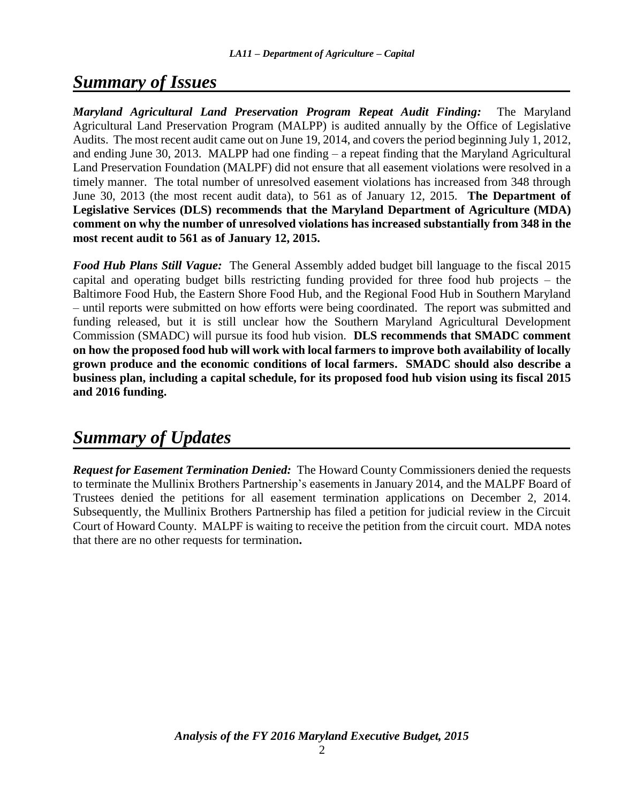## *Summary of Issues*

*Maryland Agricultural Land Preservation Program Repeat Audit Finding:* The Maryland Agricultural Land Preservation Program (MALPP) is audited annually by the Office of Legislative Audits. The most recent audit came out on June 19, 2014, and covers the period beginning July 1, 2012, and ending June 30, 2013. MALPP had one finding – a repeat finding that the Maryland Agricultural Land Preservation Foundation (MALPF) did not ensure that all easement violations were resolved in a timely manner. The total number of unresolved easement violations has increased from 348 through June 30, 2013 (the most recent audit data), to 561 as of January 12, 2015. **The Department of Legislative Services (DLS) recommends that the Maryland Department of Agriculture (MDA) comment on why the number of unresolved violations has increased substantially from 348 in the most recent audit to 561 as of January 12, 2015.**

*Food Hub Plans Still Vague:* The General Assembly added budget bill language to the fiscal 2015 capital and operating budget bills restricting funding provided for three food hub projects – the Baltimore Food Hub, the Eastern Shore Food Hub, and the Regional Food Hub in Southern Maryland – until reports were submitted on how efforts were being coordinated. The report was submitted and funding released, but it is still unclear how the Southern Maryland Agricultural Development Commission (SMADC) will pursue its food hub vision. **DLS recommends that SMADC comment on how the proposed food hub will work with local farmers to improve both availability of locally grown produce and the economic conditions of local farmers. SMADC should also describe a business plan, including a capital schedule, for its proposed food hub vision using its fiscal 2015 and 2016 funding.**

# *Summary of Updates*

*Request for Easement Termination Denied:* The Howard County Commissioners denied the requests to terminate the Mullinix Brothers Partnership's easements in January 2014, and the MALPF Board of Trustees denied the petitions for all easement termination applications on December 2, 2014. Subsequently, the Mullinix Brothers Partnership has filed a petition for judicial review in the Circuit Court of Howard County. MALPF is waiting to receive the petition from the circuit court. MDA notes that there are no other requests for termination**.**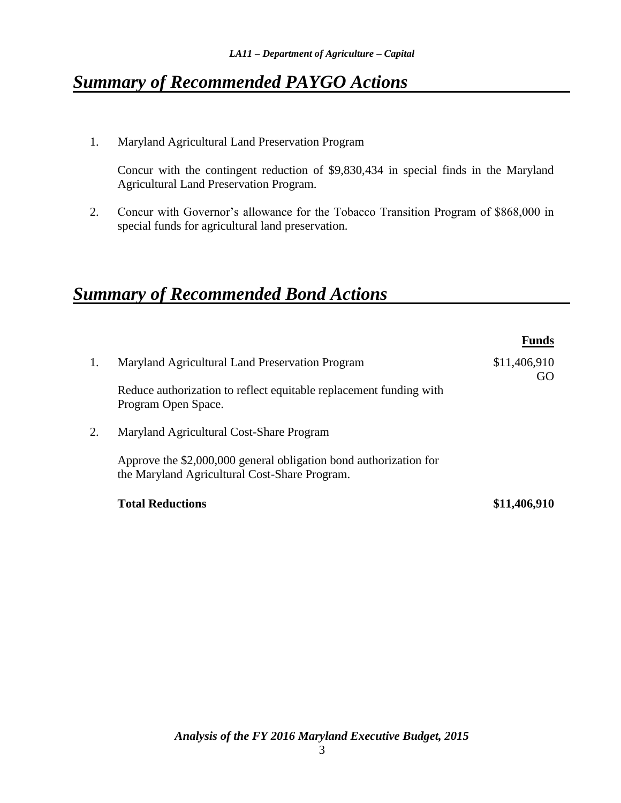# *Summary of Recommended PAYGO Actions*

1. Maryland Agricultural Land Preservation Program

Concur with the contingent reduction of \$9,830,434 in special finds in the Maryland Agricultural Land Preservation Program.

2. Concur with Governor's allowance for the Tobacco Transition Program of \$868,000 in special funds for agricultural land preservation.

# *Summary of Recommended Bond Actions*

|    |                                                                                                                    | <b>Funds</b>       |
|----|--------------------------------------------------------------------------------------------------------------------|--------------------|
| 1. | Maryland Agricultural Land Preservation Program                                                                    | \$11,406,910<br>GO |
|    | Reduce authorization to reflect equitable replacement funding with<br>Program Open Space.                          |                    |
| 2. | Maryland Agricultural Cost-Share Program                                                                           |                    |
|    | Approve the \$2,000,000 general obligation bond authorization for<br>the Maryland Agricultural Cost-Share Program. |                    |
|    | <b>Total Reductions</b>                                                                                            | \$11,406,910       |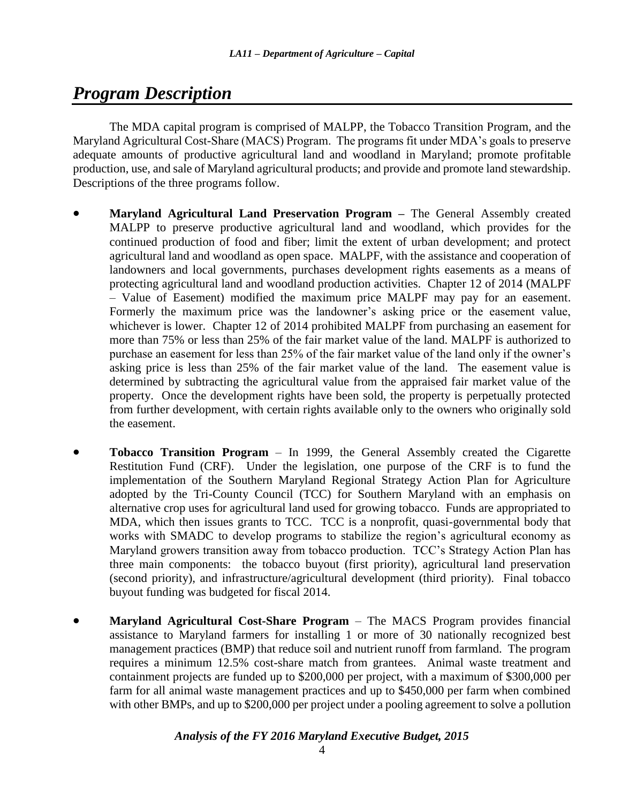# *Program Description*

The MDA capital program is comprised of MALPP, the Tobacco Transition Program, and the Maryland Agricultural Cost-Share (MACS) Program. The programs fit under MDA's goals to preserve adequate amounts of productive agricultural land and woodland in Maryland; promote profitable production, use, and sale of Maryland agricultural products; and provide and promote land stewardship. Descriptions of the three programs follow.

- **Maryland Agricultural Land Preservation Program –** The General Assembly created MALPP to preserve productive agricultural land and woodland, which provides for the continued production of food and fiber; limit the extent of urban development; and protect agricultural land and woodland as open space. MALPF, with the assistance and cooperation of landowners and local governments, purchases development rights easements as a means of protecting agricultural land and woodland production activities. Chapter 12 of 2014 (MALPF – Value of Easement) modified the maximum price MALPF may pay for an easement. Formerly the maximum price was the landowner's asking price or the easement value, whichever is lower. Chapter 12 of 2014 prohibited MALPF from purchasing an easement for more than 75% or less than 25% of the fair market value of the land. MALPF is authorized to purchase an easement for less than 25% of the fair market value of the land only if the owner's asking price is less than 25% of the fair market value of the land. The easement value is determined by subtracting the agricultural value from the appraised fair market value of the property. Once the development rights have been sold, the property is perpetually protected from further development, with certain rights available only to the owners who originally sold the easement.
- **Tobacco Transition Program** In 1999, the General Assembly created the Cigarette Restitution Fund (CRF). Under the legislation, one purpose of the CRF is to fund the implementation of the Southern Maryland Regional Strategy Action Plan for Agriculture adopted by the Tri-County Council (TCC) for Southern Maryland with an emphasis on alternative crop uses for agricultural land used for growing tobacco. Funds are appropriated to MDA, which then issues grants to TCC. TCC is a nonprofit, quasi-governmental body that works with SMADC to develop programs to stabilize the region's agricultural economy as Maryland growers transition away from tobacco production. TCC's Strategy Action Plan has three main components: the tobacco buyout (first priority), agricultural land preservation (second priority), and infrastructure/agricultural development (third priority). Final tobacco buyout funding was budgeted for fiscal 2014.
- **Maryland Agricultural Cost-Share Program** The MACS Program provides financial assistance to Maryland farmers for installing 1 or more of 30 nationally recognized best management practices (BMP) that reduce soil and nutrient runoff from farmland. The program requires a minimum 12.5% cost-share match from grantees. Animal waste treatment and containment projects are funded up to \$200,000 per project, with a maximum of \$300,000 per farm for all animal waste management practices and up to \$450,000 per farm when combined with other BMPs, and up to \$200,000 per project under a pooling agreement to solve a pollution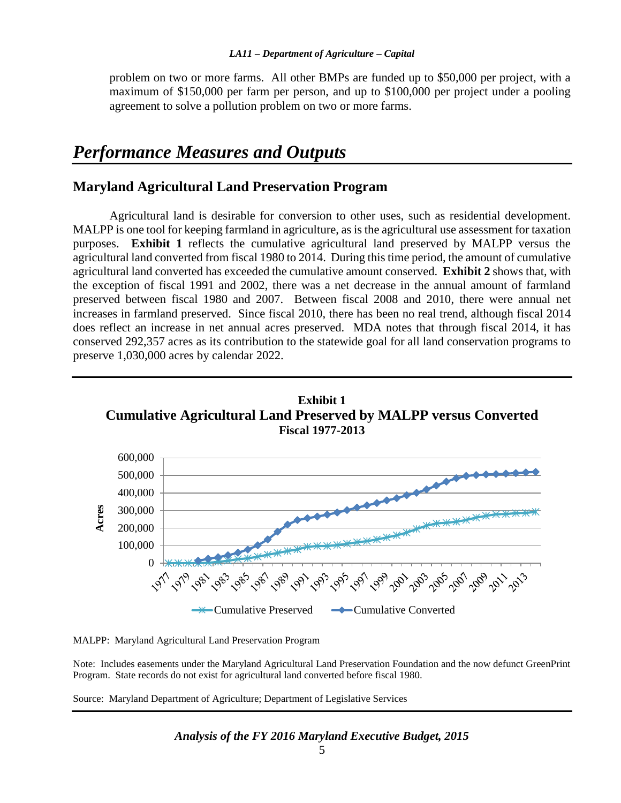problem on two or more farms. All other BMPs are funded up to \$50,000 per project, with a maximum of \$150,000 per farm per person, and up to \$100,000 per project under a pooling agreement to solve a pollution problem on two or more farms.

## *Performance Measures and Outputs*

#### **Maryland Agricultural Land Preservation Program**

Agricultural land is desirable for conversion to other uses, such as residential development. MALPP is one tool for keeping farmland in agriculture, as is the agricultural use assessment for taxation purposes. **Exhibit 1** reflects the cumulative agricultural land preserved by MALPP versus the agricultural land converted from fiscal 1980 to 2014. During this time period, the amount of cumulative agricultural land converted has exceeded the cumulative amount conserved. **Exhibit 2** shows that, with the exception of fiscal 1991 and 2002, there was a net decrease in the annual amount of farmland preserved between fiscal 1980 and 2007. Between fiscal 2008 and 2010, there were annual net increases in farmland preserved. Since fiscal 2010, there has been no real trend, although fiscal 2014 does reflect an increase in net annual acres preserved. MDA notes that through fiscal 2014, it has conserved 292,357 acres as its contribution to the statewide goal for all land conservation programs to preserve 1,030,000 acres by calendar 2022.



MALPP: Maryland Agricultural Land Preservation Program

Note: Includes easements under the Maryland Agricultural Land Preservation Foundation and the now defunct GreenPrint Program. State records do not exist for agricultural land converted before fiscal 1980.

Source: Maryland Department of Agriculture; Department of Legislative Services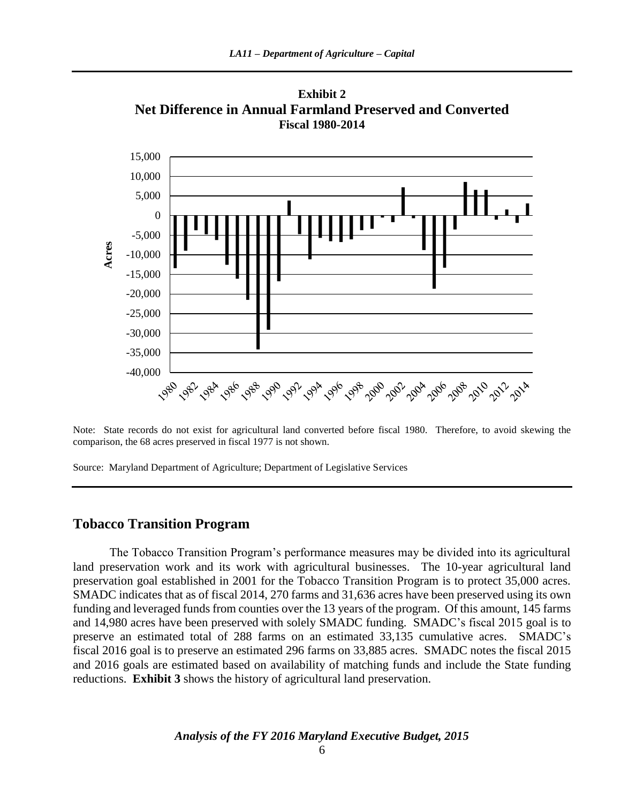

**Exhibit 2 Net Difference in Annual Farmland Preserved and Converted**

Note: State records do not exist for agricultural land converted before fiscal 1980. Therefore, to avoid skewing the comparison, the 68 acres preserved in fiscal 1977 is not shown.

1980 982 984 986 986 996 996 996 996 998 990 992 994 996 996 996 992 9924

Source: Maryland Department of Agriculture; Department of Legislative Services

#### **Tobacco Transition Program**

-40,000 -35,000 -30,000 -25,000

The Tobacco Transition Program's performance measures may be divided into its agricultural land preservation work and its work with agricultural businesses. The 10-year agricultural land preservation goal established in 2001 for the Tobacco Transition Program is to protect 35,000 acres. SMADC indicates that as of fiscal 2014, 270 farms and 31,636 acres have been preserved using its own funding and leveraged funds from counties over the 13 years of the program. Of this amount, 145 farms and 14,980 acres have been preserved with solely SMADC funding. SMADC's fiscal 2015 goal is to preserve an estimated total of 288 farms on an estimated 33,135 cumulative acres. SMADC's fiscal 2016 goal is to preserve an estimated 296 farms on 33,885 acres. SMADC notes the fiscal 2015 and 2016 goals are estimated based on availability of matching funds and include the State funding reductions. **Exhibit 3** shows the history of agricultural land preservation.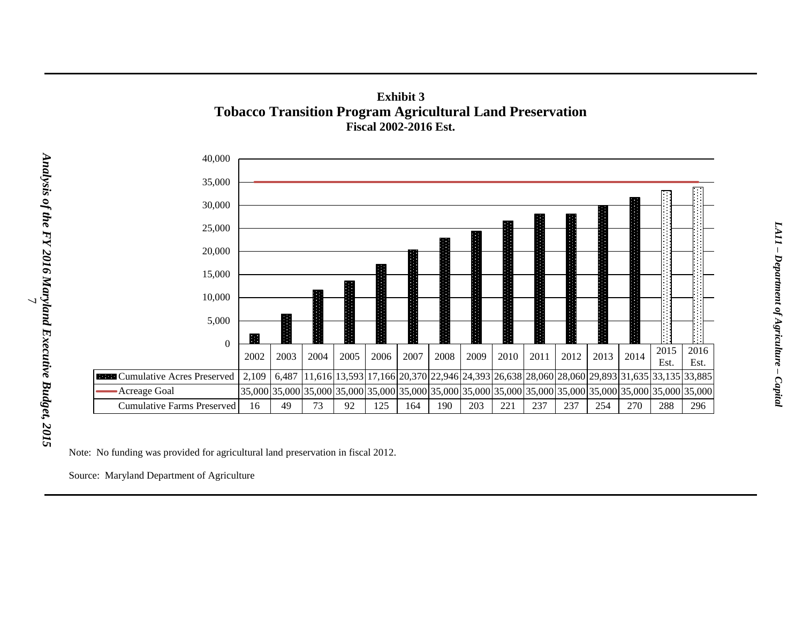

### **Exhibit 3 Tobacco Transition Program Agricultural Land Preservation Fiscal 2002-2016 Est.**

Note: No funding was provided for agricultural land preservation in fiscal 2012.

Source: Maryland Department of Agriculture

Analysis of the FY 2016 Maryland Executive Budget, 2015 *Analysis of the FY 2016 Maryland Executive Budget, 2015* ر\_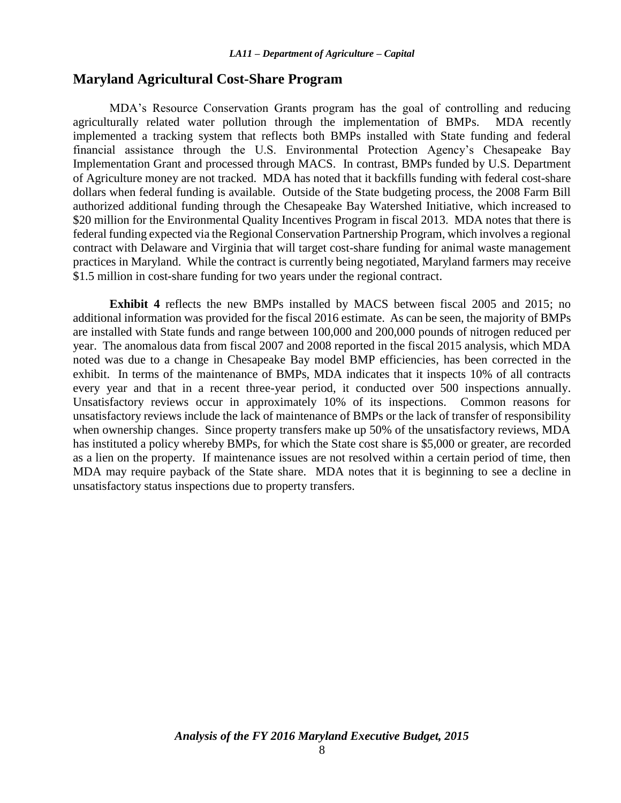#### **Maryland Agricultural Cost-Share Program**

MDA's Resource Conservation Grants program has the goal of controlling and reducing agriculturally related water pollution through the implementation of BMPs. MDA recently implemented a tracking system that reflects both BMPs installed with State funding and federal financial assistance through the U.S. Environmental Protection Agency's Chesapeake Bay Implementation Grant and processed through MACS. In contrast, BMPs funded by U.S. Department of Agriculture money are not tracked. MDA has noted that it backfills funding with federal cost-share dollars when federal funding is available. Outside of the State budgeting process, the 2008 Farm Bill authorized additional funding through the Chesapeake Bay Watershed Initiative, which increased to \$20 million for the Environmental Quality Incentives Program in fiscal 2013. MDA notes that there is federal funding expected via the Regional Conservation Partnership Program, which involves a regional contract with Delaware and Virginia that will target cost-share funding for animal waste management practices in Maryland. While the contract is currently being negotiated, Maryland farmers may receive \$1.5 million in cost-share funding for two years under the regional contract.

**Exhibit 4** reflects the new BMPs installed by MACS between fiscal 2005 and 2015; no additional information was provided for the fiscal 2016 estimate. As can be seen, the majority of BMPs are installed with State funds and range between 100,000 and 200,000 pounds of nitrogen reduced per year. The anomalous data from fiscal 2007 and 2008 reported in the fiscal 2015 analysis, which MDA noted was due to a change in Chesapeake Bay model BMP efficiencies, has been corrected in the exhibit. In terms of the maintenance of BMPs, MDA indicates that it inspects 10% of all contracts every year and that in a recent three-year period, it conducted over 500 inspections annually. Unsatisfactory reviews occur in approximately 10% of its inspections. Common reasons for unsatisfactory reviews include the lack of maintenance of BMPs or the lack of transfer of responsibility when ownership changes. Since property transfers make up 50% of the unsatisfactory reviews, MDA has instituted a policy whereby BMPs, for which the State cost share is \$5,000 or greater, are recorded as a lien on the property. If maintenance issues are not resolved within a certain period of time, then MDA may require payback of the State share. MDA notes that it is beginning to see a decline in unsatisfactory status inspections due to property transfers.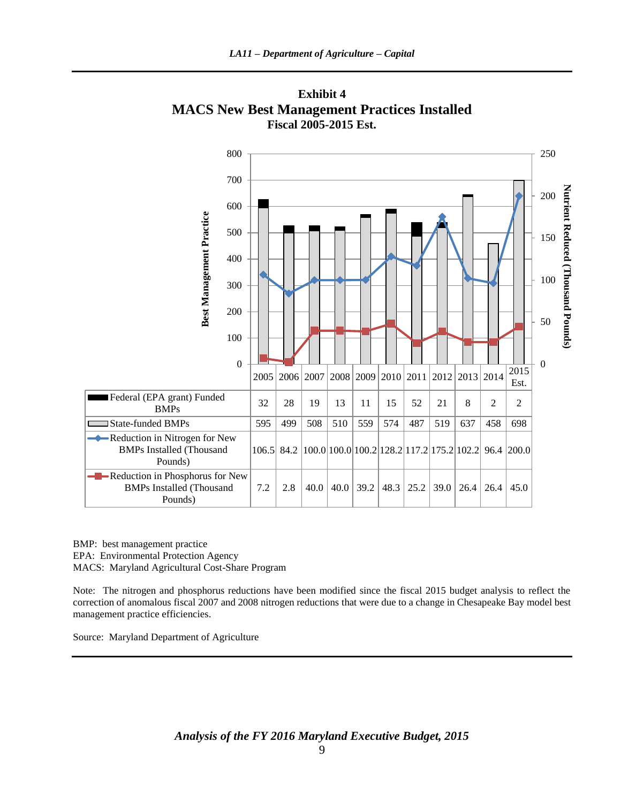

**Exhibit 4 MACS New Best Management Practices Installed Fiscal 2005-2015 Est.**

BMP: best management practice EPA: Environmental Protection Agency MACS: Maryland Agricultural Cost-Share Program

Note: The nitrogen and phosphorus reductions have been modified since the fiscal 2015 budget analysis to reflect the correction of anomalous fiscal 2007 and 2008 nitrogen reductions that were due to a change in Chesapeake Bay model best management practice efficiencies.

Source: Maryland Department of Agriculture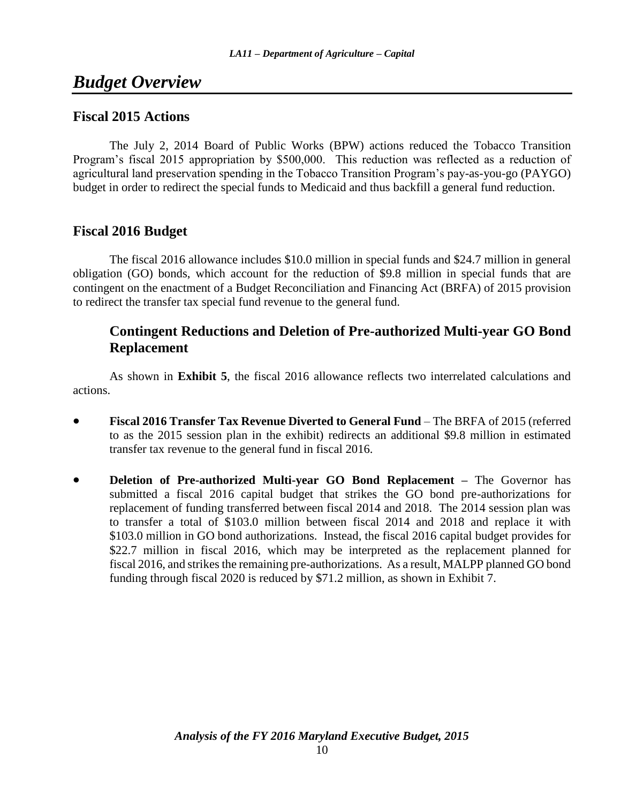## *Budget Overview*

#### **Fiscal 2015 Actions**

The July 2, 2014 Board of Public Works (BPW) actions reduced the Tobacco Transition Program's fiscal 2015 appropriation by \$500,000. This reduction was reflected as a reduction of agricultural land preservation spending in the Tobacco Transition Program's pay-as-you-go (PAYGO) budget in order to redirect the special funds to Medicaid and thus backfill a general fund reduction.

### **Fiscal 2016 Budget**

The fiscal 2016 allowance includes \$10.0 million in special funds and \$24.7 million in general obligation (GO) bonds, which account for the reduction of \$9.8 million in special funds that are contingent on the enactment of a Budget Reconciliation and Financing Act (BRFA) of 2015 provision to redirect the transfer tax special fund revenue to the general fund.

### **Contingent Reductions and Deletion of Pre-authorized Multi-year GO Bond Replacement**

As shown in **Exhibit 5**, the fiscal 2016 allowance reflects two interrelated calculations and actions.

- **Fiscal 2016 Transfer Tax Revenue Diverted to General Fund** The BRFA of 2015 (referred to as the 2015 session plan in the exhibit) redirects an additional \$9.8 million in estimated transfer tax revenue to the general fund in fiscal 2016.
- **Deletion of Pre-authorized Multi-year GO Bond Replacement –** The Governor has submitted a fiscal 2016 capital budget that strikes the GO bond pre-authorizations for replacement of funding transferred between fiscal 2014 and 2018. The 2014 session plan was to transfer a total of \$103.0 million between fiscal 2014 and 2018 and replace it with \$103.0 million in GO bond authorizations. Instead, the fiscal 2016 capital budget provides for \$22.7 million in fiscal 2016, which may be interpreted as the replacement planned for fiscal 2016, and strikes the remaining pre-authorizations. As a result, MALPP planned GO bond funding through fiscal 2020 is reduced by \$71.2 million, as shown in Exhibit 7.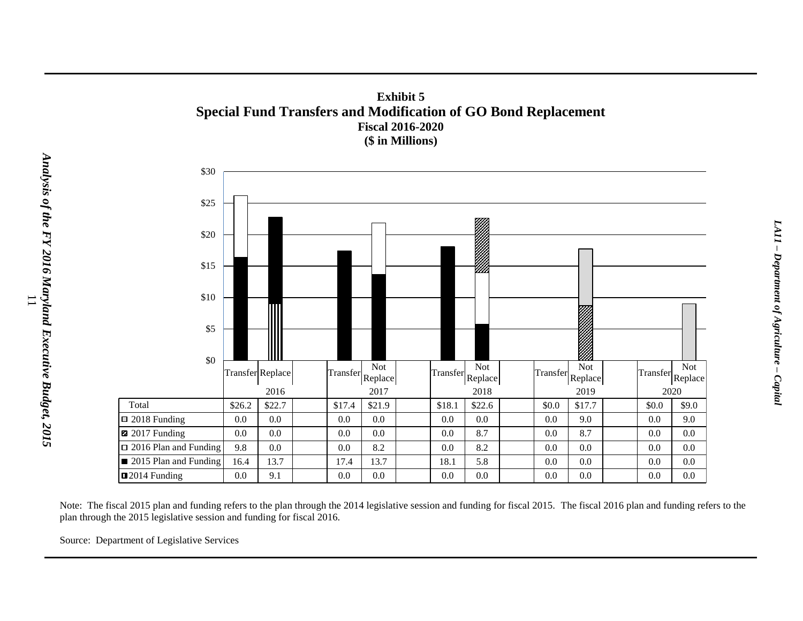



Note: The fiscal 2015 plan and funding refers to the plan through the 2014 legislative session and funding for fiscal 2015. The fiscal 2016 plan and funding refers to the plan through the 2015 legislative session and funding for fiscal 2016.

Source: Department of Legislative Services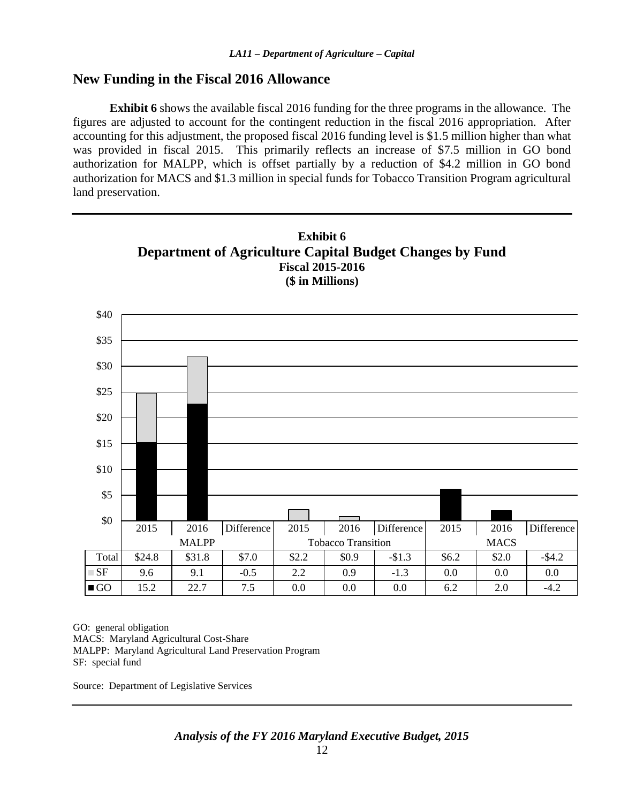#### **New Funding in the Fiscal 2016 Allowance**

**Exhibit 6** shows the available fiscal 2016 funding for the three programs in the allowance. The figures are adjusted to account for the contingent reduction in the fiscal 2016 appropriation. After accounting for this adjustment, the proposed fiscal 2016 funding level is \$1.5 million higher than what was provided in fiscal 2015. This primarily reflects an increase of \$7.5 million in GO bond authorization for MALPP, which is offset partially by a reduction of \$4.2 million in GO bond authorization for MACS and \$1.3 million in special funds for Tobacco Transition Program agricultural land preservation.



GO: general obligation MACS: Maryland Agricultural Cost-Share MALPP: Maryland Agricultural Land Preservation Program SF: special fund

Source: Department of Legislative Services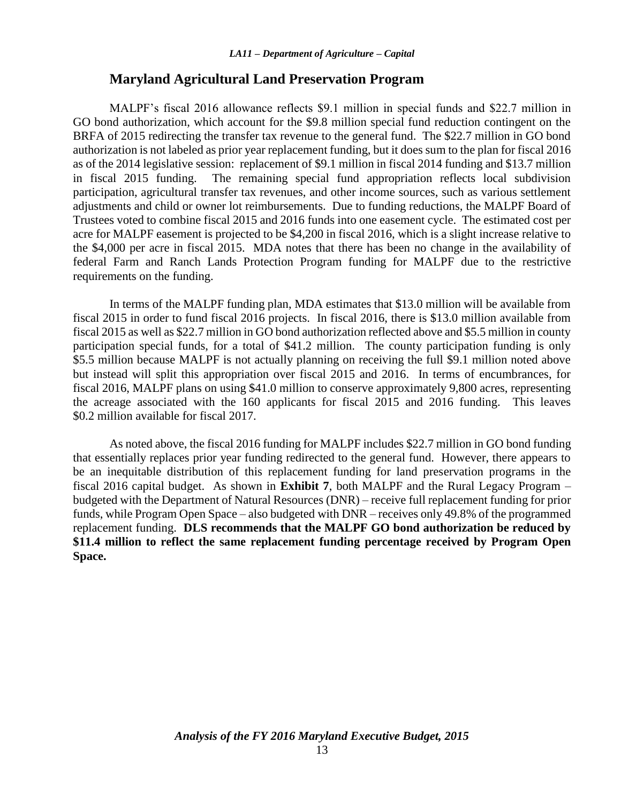#### **Maryland Agricultural Land Preservation Program**

MALPF's fiscal 2016 allowance reflects \$9.1 million in special funds and \$22.7 million in GO bond authorization, which account for the \$9.8 million special fund reduction contingent on the BRFA of 2015 redirecting the transfer tax revenue to the general fund. The \$22.7 million in GO bond authorization is not labeled as prior year replacement funding, but it does sum to the plan for fiscal 2016 as of the 2014 legislative session: replacement of \$9.1 million in fiscal 2014 funding and \$13.7 million in fiscal 2015 funding. The remaining special fund appropriation reflects local subdivision participation, agricultural transfer tax revenues, and other income sources, such as various settlement adjustments and child or owner lot reimbursements. Due to funding reductions, the MALPF Board of Trustees voted to combine fiscal 2015 and 2016 funds into one easement cycle. The estimated cost per acre for MALPF easement is projected to be \$4,200 in fiscal 2016, which is a slight increase relative to the \$4,000 per acre in fiscal 2015. MDA notes that there has been no change in the availability of federal Farm and Ranch Lands Protection Program funding for MALPF due to the restrictive requirements on the funding.

In terms of the MALPF funding plan, MDA estimates that \$13.0 million will be available from fiscal 2015 in order to fund fiscal 2016 projects. In fiscal 2016, there is \$13.0 million available from fiscal 2015 as well as \$22.7 million in GO bond authorization reflected above and \$5.5 million in county participation special funds, for a total of \$41.2 million. The county participation funding is only \$5.5 million because MALPF is not actually planning on receiving the full \$9.1 million noted above but instead will split this appropriation over fiscal 2015 and 2016. In terms of encumbrances, for fiscal 2016, MALPF plans on using \$41.0 million to conserve approximately 9,800 acres, representing the acreage associated with the 160 applicants for fiscal 2015 and 2016 funding. This leaves \$0.2 million available for fiscal 2017.

As noted above, the fiscal 2016 funding for MALPF includes \$22.7 million in GO bond funding that essentially replaces prior year funding redirected to the general fund. However, there appears to be an inequitable distribution of this replacement funding for land preservation programs in the fiscal 2016 capital budget. As shown in **Exhibit 7**, both MALPF and the Rural Legacy Program – budgeted with the Department of Natural Resources (DNR) – receive full replacement funding for prior funds, while Program Open Space – also budgeted with DNR – receives only 49.8% of the programmed replacement funding. **DLS recommends that the MALPF GO bond authorization be reduced by \$11.4 million to reflect the same replacement funding percentage received by Program Open Space.**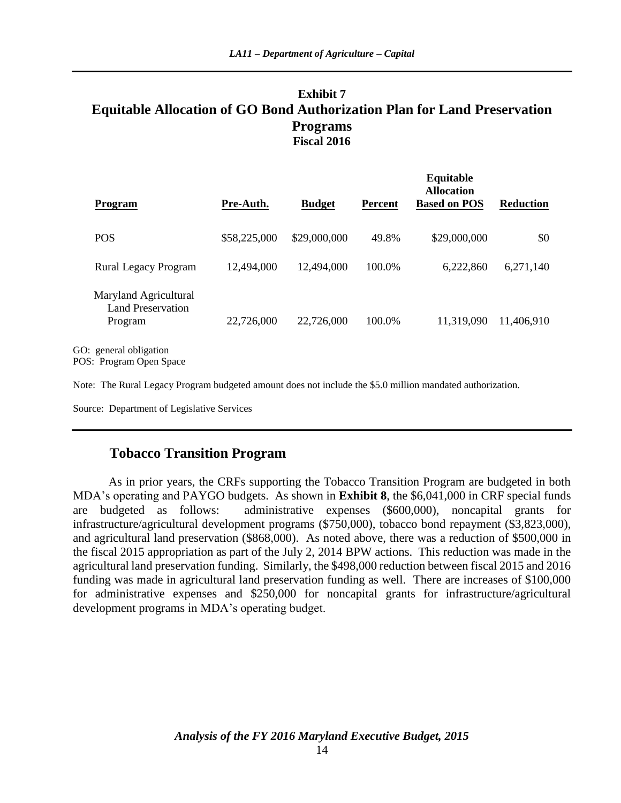### **Exhibit 7 Equitable Allocation of GO Bond Authorization Plan for Land Preservation Programs Fiscal 2016**

| <b>Program</b>                                                             | Pre-Auth.    | <b>Budget</b> | <b>Percent</b> | Equitable<br><b>Allocation</b><br><b>Based on POS</b> | <b>Reduction</b> |
|----------------------------------------------------------------------------|--------------|---------------|----------------|-------------------------------------------------------|------------------|
| <b>POS</b>                                                                 | \$58,225,000 | \$29,000,000  | 49.8%          | \$29,000,000                                          | \$0              |
| <b>Rural Legacy Program</b>                                                | 12,494,000   | 12,494,000    | 100.0%         | 6,222,860                                             | 6,271,140        |
| Maryland Agricultural<br>Land Preservation<br>Program                      | 22,726,000   | 22,726,000    | 100.0%         | 11,319,090                                            | 11,406,910       |
| GO: general obligation<br>$D\Omega$ . Drogram $\Omega$ non $\Omega$ nogram |              |               |                |                                                       |                  |

POS: Program Open Space

Note: The Rural Legacy Program budgeted amount does not include the \$5.0 million mandated authorization.

Source: Department of Legislative Services

#### **Tobacco Transition Program**

As in prior years, the CRFs supporting the Tobacco Transition Program are budgeted in both MDA's operating and PAYGO budgets. As shown in **Exhibit 8**, the \$6,041,000 in CRF special funds are budgeted as follows: administrative expenses (\$600,000), noncapital grants for infrastructure/agricultural development programs (\$750,000), tobacco bond repayment (\$3,823,000), and agricultural land preservation (\$868,000). As noted above, there was a reduction of \$500,000 in the fiscal 2015 appropriation as part of the July 2, 2014 BPW actions. This reduction was made in the agricultural land preservation funding. Similarly, the \$498,000 reduction between fiscal 2015 and 2016 funding was made in agricultural land preservation funding as well. There are increases of \$100,000 for administrative expenses and \$250,000 for noncapital grants for infrastructure/agricultural development programs in MDA's operating budget.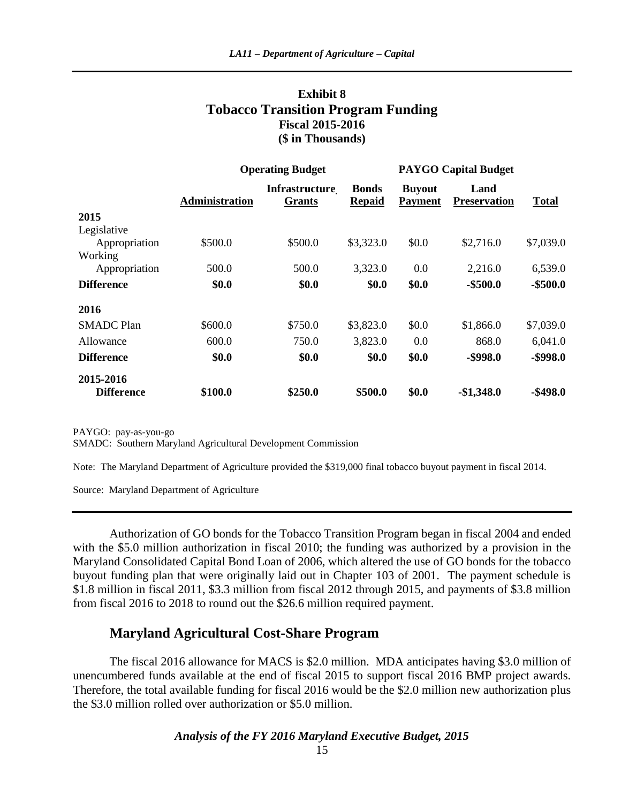### **Exhibit 8 Tobacco Transition Program Funding Fiscal 2015-2016 (\$ in Thousands)**

|                   | <b>Operating Budget</b> |                                        |                               | <b>PAYGO Capital Budget</b> |                             |              |
|-------------------|-------------------------|----------------------------------------|-------------------------------|-----------------------------|-----------------------------|--------------|
|                   | <b>Administration</b>   | <b>Infrastructure</b><br><b>Grants</b> | <b>Bonds</b><br><b>Repaid</b> | <b>Buyout</b><br>Payment    | Land<br><b>Preservation</b> | <b>Total</b> |
| 2015              |                         |                                        |                               |                             |                             |              |
| Legislative       |                         |                                        |                               |                             |                             |              |
| Appropriation     | \$500.0                 | \$500.0                                | \$3,323.0                     | \$0.0                       | \$2,716.0                   | \$7,039.0    |
| Working           |                         |                                        |                               |                             |                             |              |
| Appropriation     | 500.0                   | 500.0                                  | 3,323.0                       | 0.0                         | 2,216.0                     | 6,539.0      |
| <b>Difference</b> | \$0.0                   | \$0.0                                  | \$0.0                         | \$0.0                       | $-$500.0$                   | $-$ \$500.0  |
| 2016              |                         |                                        |                               |                             |                             |              |
| <b>SMADC</b> Plan | \$600.0                 | \$750.0                                | \$3,823.0                     | \$0.0                       | \$1,866.0                   | \$7,039.0    |
| Allowance         | 600.0                   | 750.0                                  | 3,823.0                       | 0.0                         | 868.0                       | 6,041.0      |
| <b>Difference</b> | \$0.0                   | \$0.0                                  | \$0.0                         | \$0.0                       | $-$ \$998.0                 | $-$ \$998.0  |
| 2015-2016         |                         |                                        |                               |                             |                             |              |
| <b>Difference</b> | \$100.0                 | \$250.0                                | \$500.0                       | \$0.0                       | $-$1,348.0$                 | $-$ \$498.0  |

PAYGO: pay-as-you-go

SMADC: Southern Maryland Agricultural Development Commission

Note: The Maryland Department of Agriculture provided the \$319,000 final tobacco buyout payment in fiscal 2014.

Source: Maryland Department of Agriculture

Authorization of GO bonds for the Tobacco Transition Program began in fiscal 2004 and ended with the \$5.0 million authorization in fiscal 2010; the funding was authorized by a provision in the Maryland Consolidated Capital Bond Loan of 2006, which altered the use of GO bonds for the tobacco buyout funding plan that were originally laid out in Chapter 103 of 2001. The payment schedule is \$1.8 million in fiscal 2011, \$3.3 million from fiscal 2012 through 2015, and payments of \$3.8 million from fiscal 2016 to 2018 to round out the \$26.6 million required payment.

#### **Maryland Agricultural Cost-Share Program**

The fiscal 2016 allowance for MACS is \$2.0 million. MDA anticipates having \$3.0 million of unencumbered funds available at the end of fiscal 2015 to support fiscal 2016 BMP project awards. Therefore, the total available funding for fiscal 2016 would be the \$2.0 million new authorization plus the \$3.0 million rolled over authorization or \$5.0 million.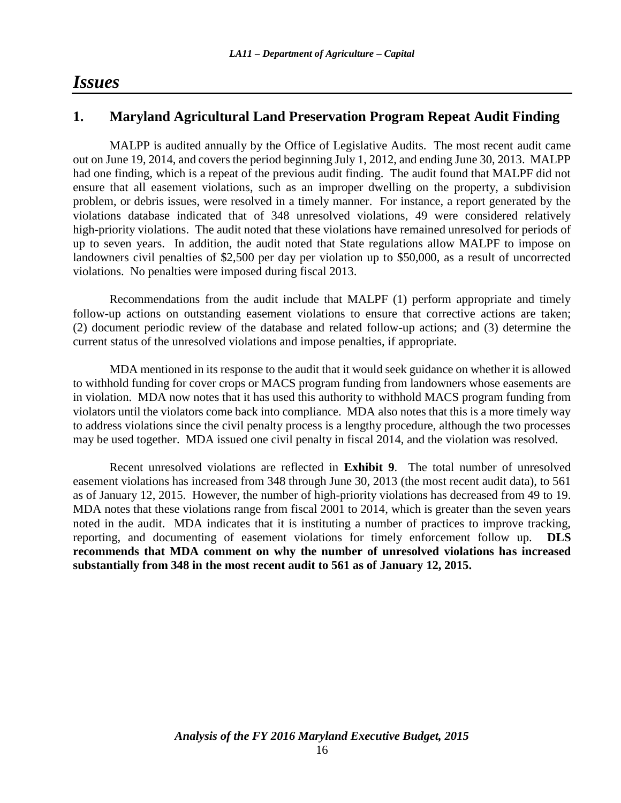### *Issues*

#### **1. Maryland Agricultural Land Preservation Program Repeat Audit Finding**

MALPP is audited annually by the Office of Legislative Audits. The most recent audit came out on June 19, 2014, and covers the period beginning July 1, 2012, and ending June 30, 2013. MALPP had one finding, which is a repeat of the previous audit finding. The audit found that MALPF did not ensure that all easement violations, such as an improper dwelling on the property, a subdivision problem, or debris issues, were resolved in a timely manner. For instance, a report generated by the violations database indicated that of 348 unresolved violations, 49 were considered relatively high-priority violations. The audit noted that these violations have remained unresolved for periods of up to seven years. In addition, the audit noted that State regulations allow MALPF to impose on landowners civil penalties of \$2,500 per day per violation up to \$50,000, as a result of uncorrected violations. No penalties were imposed during fiscal 2013.

Recommendations from the audit include that MALPF (1) perform appropriate and timely follow-up actions on outstanding easement violations to ensure that corrective actions are taken; (2) document periodic review of the database and related follow-up actions; and (3) determine the current status of the unresolved violations and impose penalties, if appropriate.

MDA mentioned in its response to the audit that it would seek guidance on whether it is allowed to withhold funding for cover crops or MACS program funding from landowners whose easements are in violation. MDA now notes that it has used this authority to withhold MACS program funding from violators until the violators come back into compliance. MDA also notes that this is a more timely way to address violations since the civil penalty process is a lengthy procedure, although the two processes may be used together. MDA issued one civil penalty in fiscal 2014, and the violation was resolved.

Recent unresolved violations are reflected in **Exhibit 9**. The total number of unresolved easement violations has increased from 348 through June 30, 2013 (the most recent audit data), to 561 as of January 12, 2015. However, the number of high-priority violations has decreased from 49 to 19. MDA notes that these violations range from fiscal 2001 to 2014, which is greater than the seven years noted in the audit. MDA indicates that it is instituting a number of practices to improve tracking, reporting, and documenting of easement violations for timely enforcement follow up. **DLS recommends that MDA comment on why the number of unresolved violations has increased substantially from 348 in the most recent audit to 561 as of January 12, 2015.**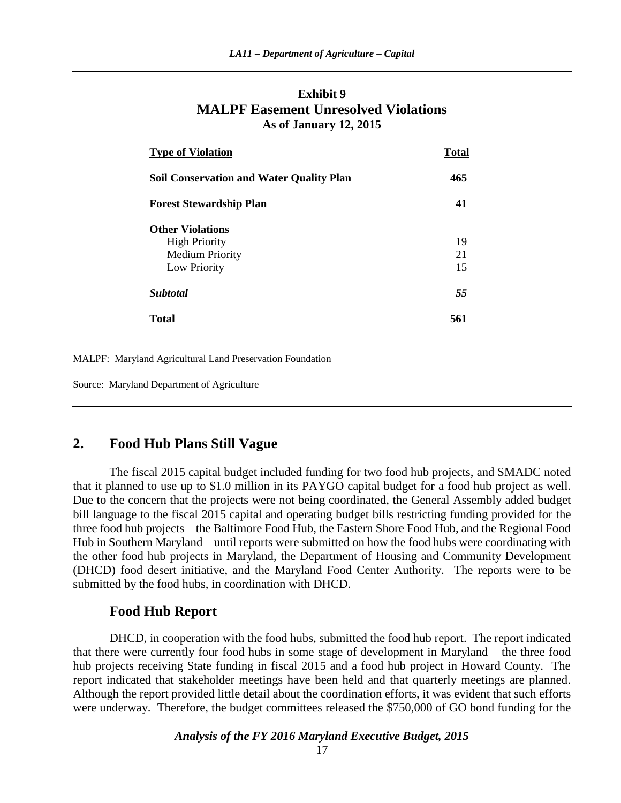#### **Exhibit 9 MALPF Easement Unresolved Violations As of January 12, 2015**

| <b>Type of Violation</b>                        | <b>Total</b> |  |
|-------------------------------------------------|--------------|--|
| <b>Soil Conservation and Water Quality Plan</b> | 465          |  |
| <b>Forest Stewardship Plan</b>                  | 41           |  |
| <b>Other Violations</b>                         |              |  |
| <b>High Priority</b>                            | 19           |  |
| <b>Medium Priority</b>                          | 21           |  |
| Low Priority                                    | 15           |  |
| <b>Subtotal</b>                                 | 55           |  |
| <b>Total</b>                                    | 561          |  |

MALPF: Maryland Agricultural Land Preservation Foundation

Source: Maryland Department of Agriculture

#### **2. Food Hub Plans Still Vague**

The fiscal 2015 capital budget included funding for two food hub projects, and SMADC noted that it planned to use up to \$1.0 million in its PAYGO capital budget for a food hub project as well. Due to the concern that the projects were not being coordinated, the General Assembly added budget bill language to the fiscal 2015 capital and operating budget bills restricting funding provided for the three food hub projects – the Baltimore Food Hub, the Eastern Shore Food Hub, and the Regional Food Hub in Southern Maryland – until reports were submitted on how the food hubs were coordinating with the other food hub projects in Maryland, the Department of Housing and Community Development (DHCD) food desert initiative, and the Maryland Food Center Authority. The reports were to be submitted by the food hubs, in coordination with DHCD.

#### **Food Hub Report**

DHCD, in cooperation with the food hubs, submitted the food hub report. The report indicated that there were currently four food hubs in some stage of development in Maryland – the three food hub projects receiving State funding in fiscal 2015 and a food hub project in Howard County. The report indicated that stakeholder meetings have been held and that quarterly meetings are planned. Although the report provided little detail about the coordination efforts, it was evident that such efforts were underway. Therefore, the budget committees released the \$750,000 of GO bond funding for the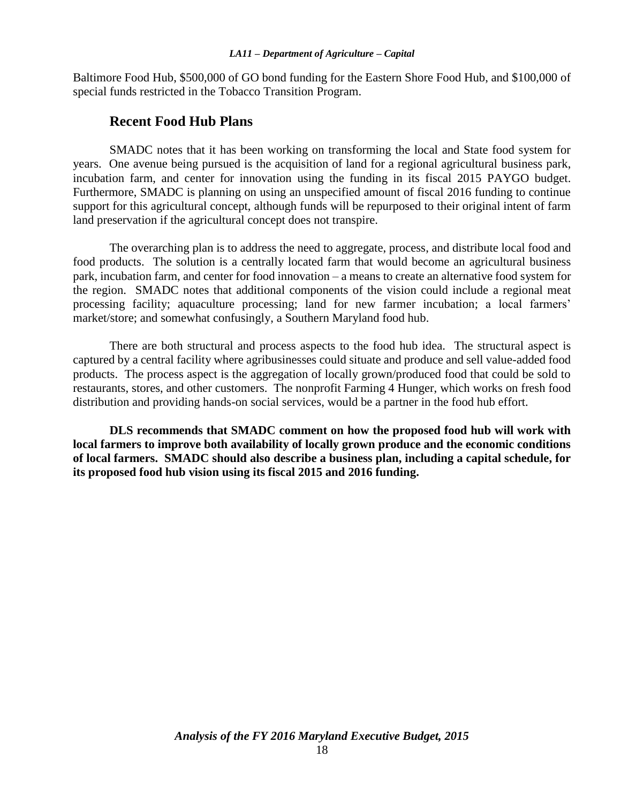Baltimore Food Hub, \$500,000 of GO bond funding for the Eastern Shore Food Hub, and \$100,000 of special funds restricted in the Tobacco Transition Program.

#### **Recent Food Hub Plans**

SMADC notes that it has been working on transforming the local and State food system for years. One avenue being pursued is the acquisition of land for a regional agricultural business park, incubation farm, and center for innovation using the funding in its fiscal 2015 PAYGO budget. Furthermore, SMADC is planning on using an unspecified amount of fiscal 2016 funding to continue support for this agricultural concept, although funds will be repurposed to their original intent of farm land preservation if the agricultural concept does not transpire.

The overarching plan is to address the need to aggregate, process, and distribute local food and food products. The solution is a centrally located farm that would become an agricultural business park, incubation farm, and center for food innovation – a means to create an alternative food system for the region. SMADC notes that additional components of the vision could include a regional meat processing facility; aquaculture processing; land for new farmer incubation; a local farmers' market/store; and somewhat confusingly, a Southern Maryland food hub.

There are both structural and process aspects to the food hub idea. The structural aspect is captured by a central facility where agribusinesses could situate and produce and sell value-added food products. The process aspect is the aggregation of locally grown/produced food that could be sold to restaurants, stores, and other customers. The nonprofit Farming 4 Hunger, which works on fresh food distribution and providing hands-on social services, would be a partner in the food hub effort.

**DLS recommends that SMADC comment on how the proposed food hub will work with local farmers to improve both availability of locally grown produce and the economic conditions of local farmers. SMADC should also describe a business plan, including a capital schedule, for its proposed food hub vision using its fiscal 2015 and 2016 funding.**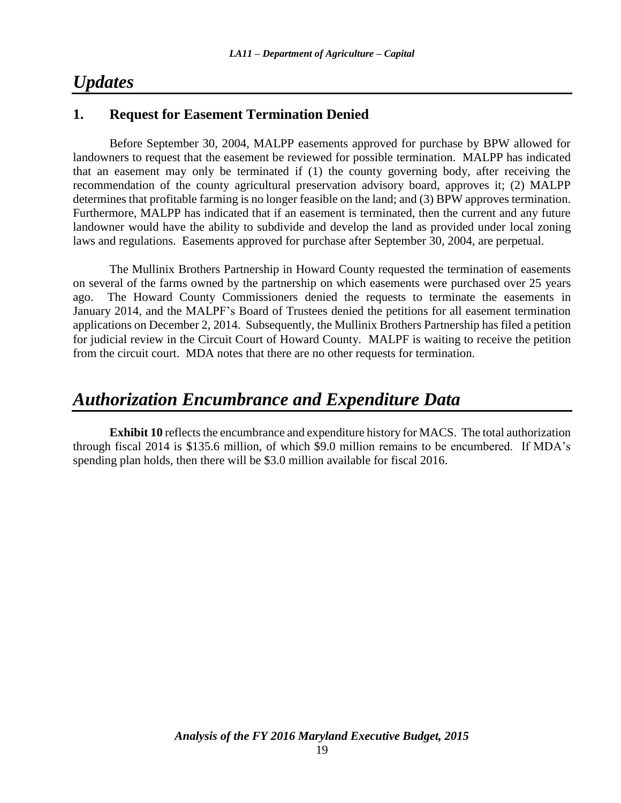## *Updates*

### **1. Request for Easement Termination Denied**

Before September 30, 2004, MALPP easements approved for purchase by BPW allowed for landowners to request that the easement be reviewed for possible termination. MALPP has indicated that an easement may only be terminated if (1) the county governing body, after receiving the recommendation of the county agricultural preservation advisory board, approves it; (2) MALPP determines that profitable farming is no longer feasible on the land; and (3) BPW approves termination. Furthermore, MALPP has indicated that if an easement is terminated, then the current and any future landowner would have the ability to subdivide and develop the land as provided under local zoning laws and regulations. Easements approved for purchase after September 30, 2004, are perpetual.

The Mullinix Brothers Partnership in Howard County requested the termination of easements on several of the farms owned by the partnership on which easements were purchased over 25 years ago. The Howard County Commissioners denied the requests to terminate the easements in January 2014, and the MALPF's Board of Trustees denied the petitions for all easement termination applications on December 2, 2014. Subsequently, the Mullinix Brothers Partnership has filed a petition for judicial review in the Circuit Court of Howard County. MALPF is waiting to receive the petition from the circuit court. MDA notes that there are no other requests for termination.

## *Authorization Encumbrance and Expenditure Data*

**Exhibit 10** reflects the encumbrance and expenditure history for MACS. The total authorization through fiscal 2014 is \$135.6 million, of which \$9.0 million remains to be encumbered. If MDA's spending plan holds, then there will be \$3.0 million available for fiscal 2016.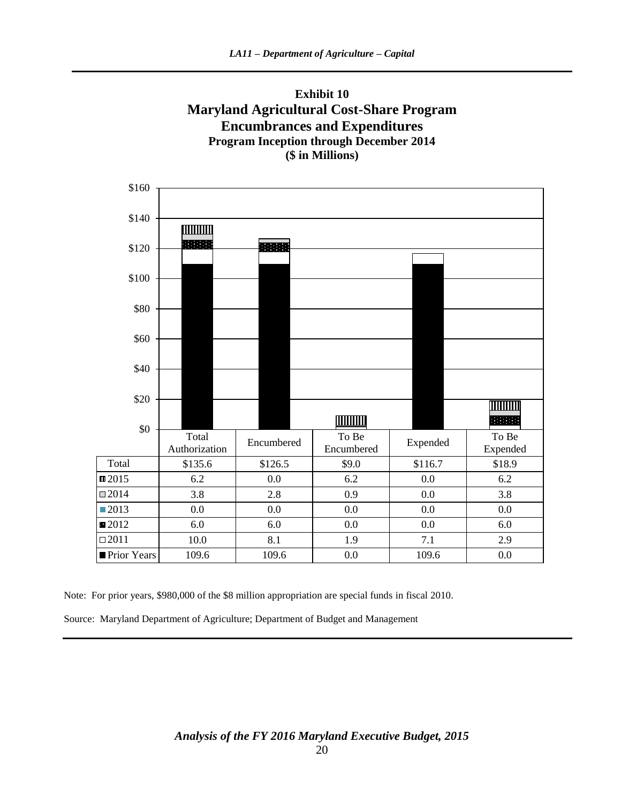



Note: For prior years, \$980,000 of the \$8 million appropriation are special funds in fiscal 2010.

Source: Maryland Department of Agriculture; Department of Budget and Management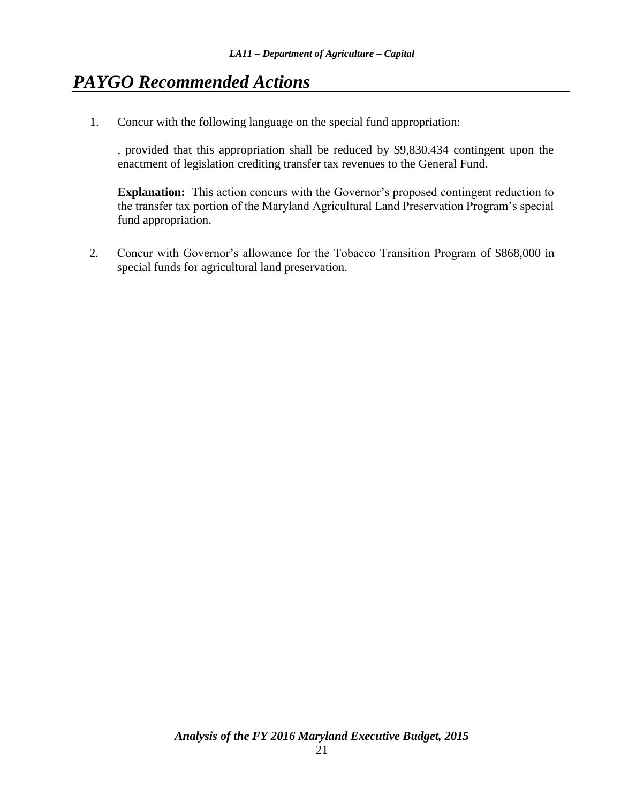## *PAYGO Recommended Actions*

1. Concur with the following language on the special fund appropriation:

, provided that this appropriation shall be reduced by \$9,830,434 contingent upon the enactment of legislation crediting transfer tax revenues to the General Fund.

**Explanation:** This action concurs with the Governor's proposed contingent reduction to the transfer tax portion of the Maryland Agricultural Land Preservation Program's special fund appropriation.

2. Concur with Governor's allowance for the Tobacco Transition Program of \$868,000 in special funds for agricultural land preservation.